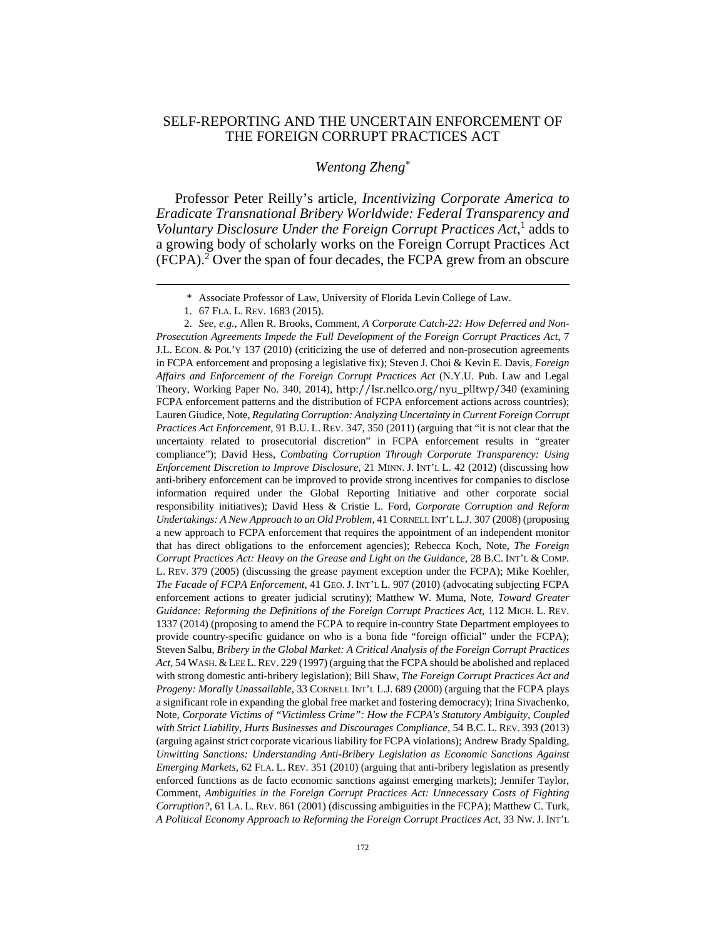## SELF-REPORTING AND THE UNCERTAIN ENFORCEMENT OF THE FOREIGN CORRUPT PRACTICES ACT

## *Wentong Zheng\**

Professor Peter Reilly's article, *Incentivizing Corporate America to Eradicate Transnational Bribery Worldwide: Federal Transparency and*  Voluntary Disclosure Under the Foreign Corrupt Practices Act,<sup>1</sup> adds to a growing body of scholarly works on the Foreign Corrupt Practices Act  $(FCPA).$ <sup>2</sup> Over the span of four decades, the FCPA grew from an obscure

 $\overline{a}$ 

 <sup>\*</sup> Associate Professor of Law, University of Florida Levin College of Law.

 <sup>1. 67</sup> FLA. L. REV. 1683 (2015).

 <sup>2.</sup> *See, e.g.*, Allen R. Brooks, Comment, *A Corporate Catch-22: How Deferred and Non-Prosecution Agreements Impede the Full Development of the Foreign Corrupt Practices Act*, 7 J.L. ECON. & POL'Y 137 (2010) (criticizing the use of deferred and non-prosecution agreements in FCPA enforcement and proposing a legislative fix); Steven J. Choi & Kevin E. Davis, *Foreign Affairs and Enforcement of the Foreign Corrupt Practices Act* (N.Y.U. Pub. Law and Legal Theory, Working Paper No. 340, 2014), http://lsr.nellco.org/nyu\_plltwp/340 (examining FCPA enforcement patterns and the distribution of FCPA enforcement actions across countries); Lauren Giudice, Note, *Regulating Corruption: Analyzing Uncertainty in Current Foreign Corrupt Practices Act Enforcement*, 91 B.U. L. REV. 347, 350 (2011) (arguing that "it is not clear that the uncertainty related to prosecutorial discretion" in FCPA enforcement results in "greater compliance"); David Hess, *Combating Corruption Through Corporate Transparency: Using Enforcement Discretion to Improve Disclosure*, 21 MINN. J. INT'L L. 42 (2012) (discussing how anti-bribery enforcement can be improved to provide strong incentives for companies to disclose information required under the Global Reporting Initiative and other corporate social responsibility initiatives); David Hess & Cristie L. Ford, *Corporate Corruption and Reform Undertakings: A New Approach to an Old Problem*, 41 CORNELL INT'L L.J. 307 (2008) (proposing a new approach to FCPA enforcement that requires the appointment of an independent monitor that has direct obligations to the enforcement agencies); Rebecca Koch, Note, *The Foreign Corrupt Practices Act: Heavy on the Grease and Light on the Guidance*, 28 B.C. INT'L & COMP. L. REV. 379 (2005) (discussing the grease payment exception under the FCPA); Mike Koehler, *The Facade of FCPA Enforcement*, 41 GEO. J. INT'L L. 907 (2010) (advocating subjecting FCPA enforcement actions to greater judicial scrutiny); Matthew W. Muma, Note, *Toward Greater Guidance: Reforming the Definitions of the Foreign Corrupt Practices Act*, 112 MICH. L. REV. 1337 (2014) (proposing to amend the FCPA to require in-country State Department employees to provide country-specific guidance on who is a bona fide "foreign official" under the FCPA); Steven Salbu, *Bribery in the Global Market: A Critical Analysis of the Foreign Corrupt Practices Act*, 54 WASH. &LEE L.REV. 229 (1997) (arguing that the FCPA should be abolished and replaced with strong domestic anti-bribery legislation); Bill Shaw, *The Foreign Corrupt Practices Act and Progeny: Morally Unassailable*, 33 CORNELL INT'L L.J. 689 (2000) (arguing that the FCPA plays a significant role in expanding the global free market and fostering democracy); Irina Sivachenko, Note, *Corporate Victims of "Victimless Crime": How the FCPA's Statutory Ambiguity, Coupled with Strict Liability, Hurts Businesses and Discourages Compliance*, 54 B.C. L. REV. 393 (2013) (arguing against strict corporate vicarious liability for FCPA violations); Andrew Brady Spalding, *Unwitting Sanctions: Understanding Anti-Bribery Legislation as Economic Sanctions Against Emerging Markets*, 62 FLA. L. REV. 351 (2010) (arguing that anti-bribery legislation as presently enforced functions as de facto economic sanctions against emerging markets); Jennifer Taylor, Comment, *Ambiguities in the Foreign Corrupt Practices Act: Unnecessary Costs of Fighting Corruption?*, 61 LA. L. REV. 861 (2001) (discussing ambiguities in the FCPA); Matthew C. Turk, *A Political Economy Approach to Reforming the Foreign Corrupt Practices Act*, 33 NW. J. INT'L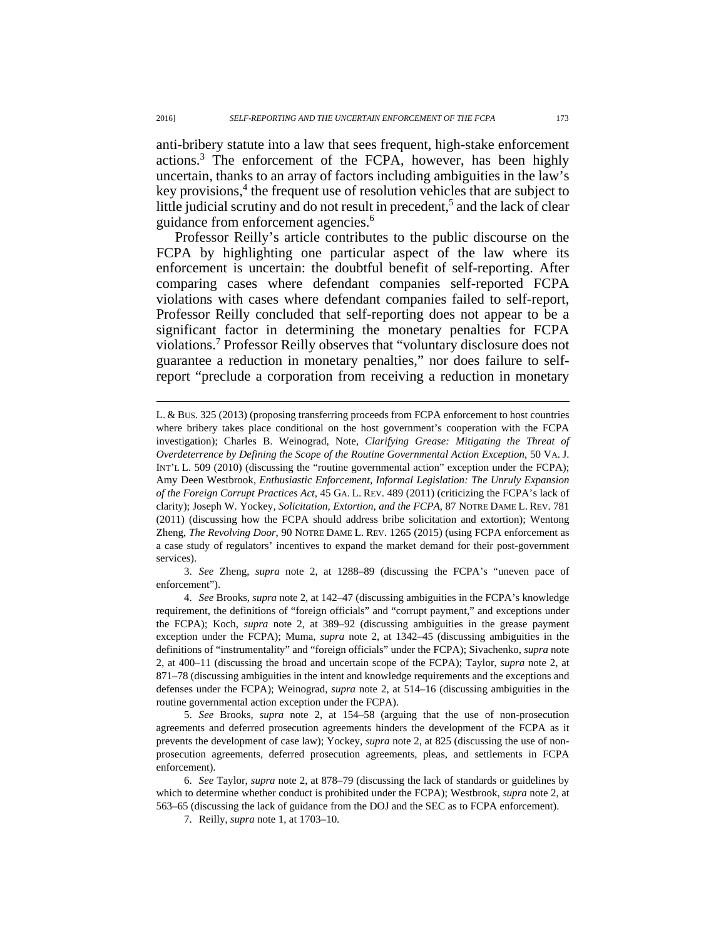anti-bribery statute into a law that sees frequent, high-stake enforcement actions.3 The enforcement of the FCPA, however, has been highly uncertain, thanks to an array of factors including ambiguities in the law's key provisions,<sup>4</sup> the frequent use of resolution vehicles that are subject to little judicial scrutiny and do not result in precedent,<sup>5</sup> and the lack of clear guidance from enforcement agencies.<sup>6</sup>

Professor Reilly's article contributes to the public discourse on the FCPA by highlighting one particular aspect of the law where its enforcement is uncertain: the doubtful benefit of self-reporting. After comparing cases where defendant companies self-reported FCPA violations with cases where defendant companies failed to self-report, Professor Reilly concluded that self-reporting does not appear to be a significant factor in determining the monetary penalties for FCPA violations.7 Professor Reilly observes that "voluntary disclosure does not guarantee a reduction in monetary penalties," nor does failure to selfreport "preclude a corporation from receiving a reduction in monetary

 3. *See* Zheng, *supra* note 2, at 1288–89 (discussing the FCPA's "uneven pace of enforcement").

 $\overline{a}$ 

L. & BUS. 325 (2013) (proposing transferring proceeds from FCPA enforcement to host countries where bribery takes place conditional on the host government's cooperation with the FCPA investigation); Charles B. Weinograd, Note, *Clarifying Grease: Mitigating the Threat of Overdeterrence by Defining the Scope of the Routine Governmental Action Exception*, 50 VA. J. INT'L L. 509 (2010) (discussing the "routine governmental action" exception under the FCPA); Amy Deen Westbrook, *Enthusiastic Enforcement, Informal Legislation: The Unruly Expansion of the Foreign Corrupt Practices Act*, 45 GA. L. REV. 489 (2011) (criticizing the FCPA's lack of clarity); Joseph W. Yockey, *Solicitation, Extortion, and the FCPA*, 87 NOTRE DAME L. REV. 781 (2011) (discussing how the FCPA should address bribe solicitation and extortion); Wentong Zheng, *The Revolving Door*, 90 NOTRE DAME L. REV. 1265 (2015) (using FCPA enforcement as a case study of regulators' incentives to expand the market demand for their post-government services).

 <sup>4.</sup> *See* Brooks, *supra* note 2, at 142–47 (discussing ambiguities in the FCPA's knowledge requirement, the definitions of "foreign officials" and "corrupt payment," and exceptions under the FCPA); Koch, *supra* note 2, at 389–92 (discussing ambiguities in the grease payment exception under the FCPA); Muma, *supra* note 2, at 1342–45 (discussing ambiguities in the definitions of "instrumentality" and "foreign officials" under the FCPA); Sivachenko, *supra* note 2, at 400–11 (discussing the broad and uncertain scope of the FCPA); Taylor, *supra* note 2, at 871–78 (discussing ambiguities in the intent and knowledge requirements and the exceptions and defenses under the FCPA); Weinograd, *supra* note 2, at 514–16 (discussing ambiguities in the routine governmental action exception under the FCPA).

 <sup>5.</sup> *See* Brooks, *supra* note 2, at 154–58 (arguing that the use of non-prosecution agreements and deferred prosecution agreements hinders the development of the FCPA as it prevents the development of case law); Yockey, *supra* note 2, at 825 (discussing the use of nonprosecution agreements, deferred prosecution agreements, pleas, and settlements in FCPA enforcement).

 <sup>6.</sup> *See* Taylor, *supra* note 2, at 878–79 (discussing the lack of standards or guidelines by which to determine whether conduct is prohibited under the FCPA); Westbrook, *supra* note 2, at 563–65 (discussing the lack of guidance from the DOJ and the SEC as to FCPA enforcement).

 <sup>7.</sup> Reilly, *supra* note 1, at 1703–10.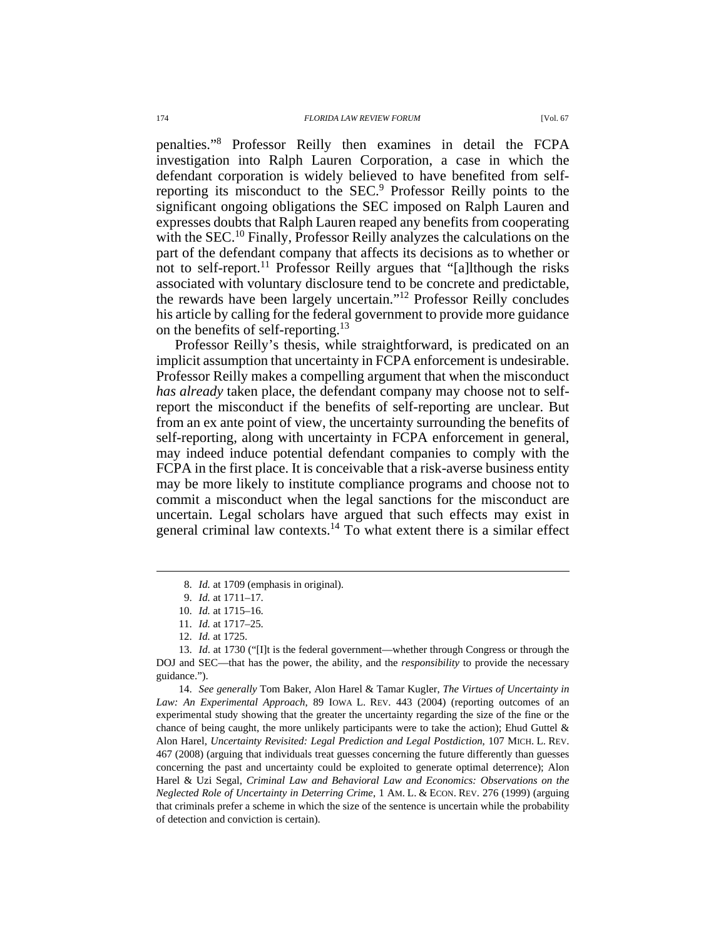penalties."8 Professor Reilly then examines in detail the FCPA investigation into Ralph Lauren Corporation, a case in which the defendant corporation is widely believed to have benefited from selfreporting its misconduct to the SEC.<sup>9</sup> Professor Reilly points to the significant ongoing obligations the SEC imposed on Ralph Lauren and expresses doubts that Ralph Lauren reaped any benefits from cooperating with the SEC.<sup>10</sup> Finally, Professor Reilly analyzes the calculations on the part of the defendant company that affects its decisions as to whether or not to self-report.11 Professor Reilly argues that "[a]lthough the risks associated with voluntary disclosure tend to be concrete and predictable, the rewards have been largely uncertain."12 Professor Reilly concludes his article by calling for the federal government to provide more guidance on the benefits of self-reporting.<sup>13</sup>

Professor Reilly's thesis, while straightforward, is predicated on an implicit assumption that uncertainty in FCPA enforcement is undesirable. Professor Reilly makes a compelling argument that when the misconduct *has already* taken place, the defendant company may choose not to selfreport the misconduct if the benefits of self-reporting are unclear. But from an ex ante point of view, the uncertainty surrounding the benefits of self-reporting, along with uncertainty in FCPA enforcement in general, may indeed induce potential defendant companies to comply with the FCPA in the first place. It is conceivable that a risk-averse business entity may be more likely to institute compliance programs and choose not to commit a misconduct when the legal sanctions for the misconduct are uncertain. Legal scholars have argued that such effects may exist in general criminal law contexts.14 To what extent there is a similar effect

 $\overline{a}$ 

 14. *See generally* Tom Baker, Alon Harel & Tamar Kugler, *The Virtues of Uncertainty in Law: An Experimental Approach*, 89 IOWA L. REV. 443 (2004) (reporting outcomes of an experimental study showing that the greater the uncertainty regarding the size of the fine or the chance of being caught, the more unlikely participants were to take the action); Ehud Guttel  $\&$ Alon Harel, *Uncertainty Revisited: Legal Prediction and Legal Postdiction*, 107 MICH. L. REV. 467 (2008) (arguing that individuals treat guesses concerning the future differently than guesses concerning the past and uncertainty could be exploited to generate optimal deterrence); Alon Harel & Uzi Segal, *Criminal Law and Behavioral Law and Economics: Observations on the Neglected Role of Uncertainty in Deterring Crime*, 1 AM. L. & ECON. REV. 276 (1999) (arguing that criminals prefer a scheme in which the size of the sentence is uncertain while the probability of detection and conviction is certain).

 <sup>8.</sup> *Id.* at 1709 (emphasis in original).

 <sup>9.</sup> *Id.* at 1711–17.

 <sup>10.</sup> *Id.* at 1715–16.

 <sup>11.</sup> *Id.* at 1717–25.

 <sup>12.</sup> *Id.* at 1725.

 <sup>13.</sup> *Id*. at 1730 ("[I]t is the federal government—whether through Congress or through the DOJ and SEC—that has the power, the ability, and the *responsibility* to provide the necessary guidance.").